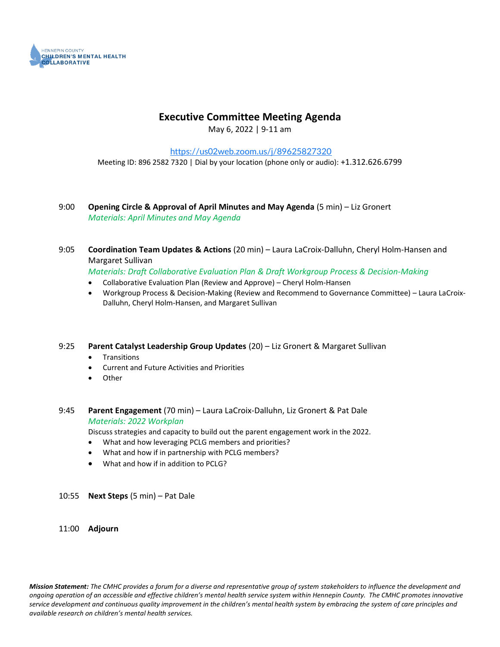

### **Executive Committee Meeting Agenda**

May 6, 2022 | 9-11 am

<https://us02web.zoom.us/j/89625827320> Meeting ID: 896 2582 7320 | Dial by your location (phone only or audio): +1.312.626.6799

#### 9:00 **Opening Circle & Approval of April Minutes and May Agenda** (5 min) – Liz Gronert *Materials: April Minutes and May Agenda*

9:05 **Coordination Team Updates & Actions** (20 min) – Laura LaCroix-Dalluhn, Cheryl Holm-Hansen and Margaret Sullivan

*Materials: Draft Collaborative Evaluation Plan & Draft Workgroup Process & Decision-Making*

- Collaborative Evaluation Plan (Review and Approve) Cheryl Holm-Hansen
- Workgroup Process & Decision-Making (Review and Recommend to Governance Committee) Laura LaCroix-Dalluhn, Cheryl Holm-Hansen, and Margaret Sullivan
- 9:25 **Parent Catalyst Leadership Group Updates** (20) Liz Gronert & Margaret Sullivan
	- **Transitions**
	- Current and Future Activities and Priorities
	- **Other**
- 9:45 **Parent Engagement** (70 min) Laura LaCroix-Dalluhn, Liz Gronert & Pat Dale *Materials: 2022 Workplan*

Discuss strategies and capacity to build out the parent engagement work in the 2022.

- What and how leveraging PCLG members and priorities?
- What and how if in partnership with PCLG members?
- What and how if in addition to PCLG?

#### 10:55 **Next Steps** (5 min) – Pat Dale

11:00 **Adjourn**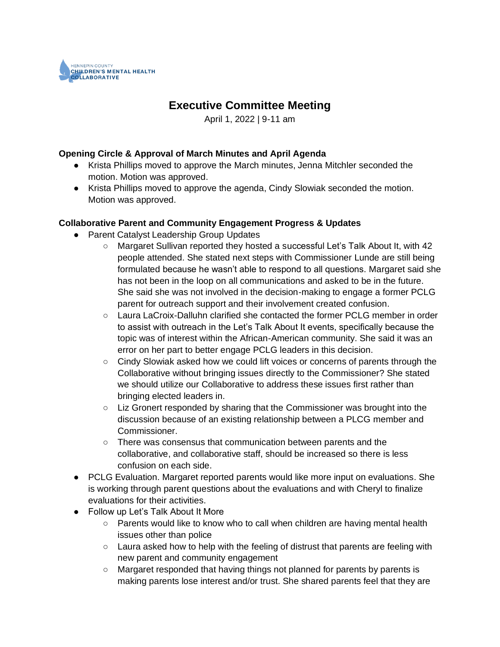

### **Executive Committee Meeting**

April 1, 2022 | 9-11 am

#### **Opening Circle & Approval of March Minutes and April Agenda**

- Krista Phillips moved to approve the March minutes, Jenna Mitchler seconded the motion. Motion was approved.
- Krista Phillips moved to approve the agenda, Cindy Slowiak seconded the motion. Motion was approved.

#### **Collaborative Parent and Community Engagement Progress & Updates**

- Parent Catalyst Leadership Group Updates
	- Margaret Sullivan reported they hosted a successful Let's Talk About It, with 42 people attended. She stated next steps with Commissioner Lunde are still being formulated because he wasn't able to respond to all questions. Margaret said she has not been in the loop on all communications and asked to be in the future. She said she was not involved in the decision-making to engage a former PCLG parent for outreach support and their involvement created confusion.
	- Laura LaCroix-Dalluhn clarified she contacted the former PCLG member in order to assist with outreach in the Let's Talk About It events, specifically because the topic was of interest within the African-American community. She said it was an error on her part to better engage PCLG leaders in this decision.
	- Cindy Slowiak asked how we could lift voices or concerns of parents through the Collaborative without bringing issues directly to the Commissioner? She stated we should utilize our Collaborative to address these issues first rather than bringing elected leaders in.
	- Liz Gronert responded by sharing that the Commissioner was brought into the discussion because of an existing relationship between a PLCG member and Commissioner.
	- There was consensus that communication between parents and the collaborative, and collaborative staff, should be increased so there is less confusion on each side.
- PCLG Evaluation. Margaret reported parents would like more input on evaluations. She is working through parent questions about the evaluations and with Cheryl to finalize evaluations for their activities.
- Follow up Let's Talk About It More
	- Parents would like to know who to call when children are having mental health issues other than police
	- $\circ$  Laura asked how to help with the feeling of distrust that parents are feeling with new parent and community engagement
	- Margaret responded that having things not planned for parents by parents is making parents lose interest and/or trust. She shared parents feel that they are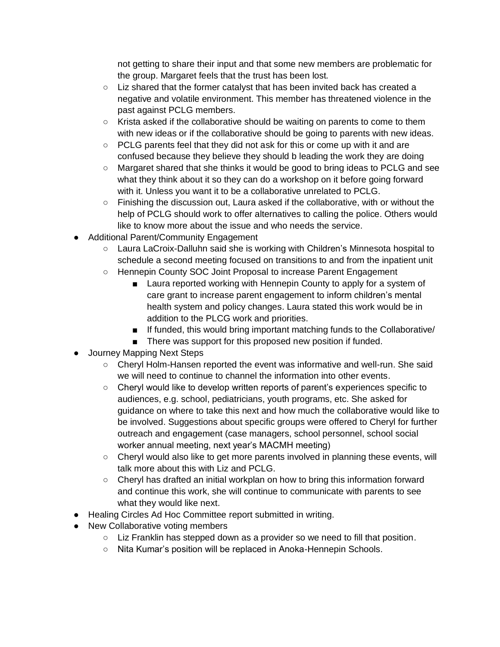not getting to share their input and that some new members are problematic for the group. Margaret feels that the trust has been lost.

- $\circ$  Liz shared that the former catalyst that has been invited back has created a negative and volatile environment. This member has threatened violence in the past against PCLG members.
- $\circ$  Krista asked if the collaborative should be waiting on parents to come to them with new ideas or if the collaborative should be going to parents with new ideas.
- $\circ$  PCLG parents feel that they did not ask for this or come up with it and are confused because they believe they should b leading the work they are doing
- Margaret shared that she thinks it would be good to bring ideas to PCLG and see what they think about it so they can do a workshop on it before going forward with it. Unless you want it to be a collaborative unrelated to PCLG.
- Finishing the discussion out, Laura asked if the collaborative, with or without the help of PCLG should work to offer alternatives to calling the police. Others would like to know more about the issue and who needs the service.
- Additional Parent/Community Engagement
	- Laura LaCroix-Dalluhn said she is working with Children's Minnesota hospital to schedule a second meeting focused on transitions to and from the inpatient unit
	- Hennepin County SOC Joint Proposal to increase Parent Engagement
		- Laura reported working with Hennepin County to apply for a system of care grant to increase parent engagement to inform children's mental health system and policy changes. Laura stated this work would be in addition to the PLCG work and priorities.
		- If funded, this would bring important matching funds to the Collaborative/
		- There was support for this proposed new position if funded.
- Journey Mapping Next Steps
	- Cheryl Holm-Hansen reported the event was informative and well-run. She said we will need to continue to channel the information into other events.
	- Cheryl would like to develop written reports of parent's experiences specific to audiences, e.g. school, pediatricians, youth programs, etc. She asked for guidance on where to take this next and how much the collaborative would like to be involved. Suggestions about specific groups were offered to Cheryl for further outreach and engagement (case managers, school personnel, school social worker annual meeting, next year's MACMH meeting)
	- Cheryl would also like to get more parents involved in planning these events, will talk more about this with Liz and PCLG.
	- Cheryl has drafted an initial workplan on how to bring this information forward and continue this work, she will continue to communicate with parents to see what they would like next.
- Healing Circles Ad Hoc Committee report submitted in writing.
- New Collaborative voting members
	- Liz Franklin has stepped down as a provider so we need to fill that position.
	- Nita Kumar's position will be replaced in Anoka-Hennepin Schools.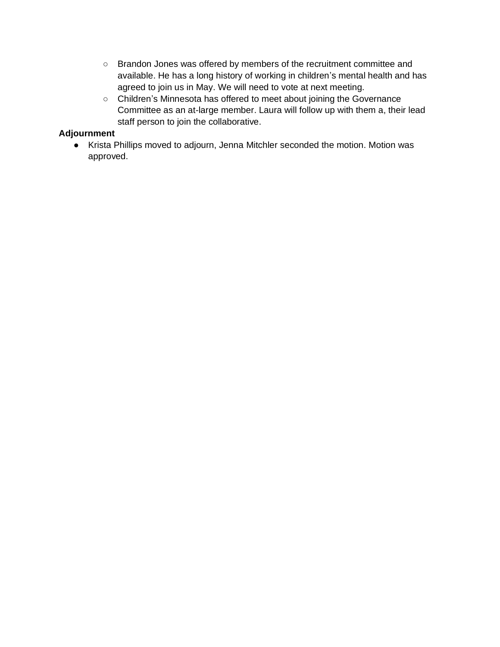- Brandon Jones was offered by members of the recruitment committee and available. He has a long history of working in children's mental health and has agreed to join us in May. We will need to vote at next meeting.
- Children's Minnesota has offered to meet about joining the Governance Committee as an at-large member. Laura will follow up with them a, their lead staff person to join the collaborative.

### **Adjournment**

● Krista Phillips moved to adjourn, Jenna Mitchler seconded the motion. Motion was approved.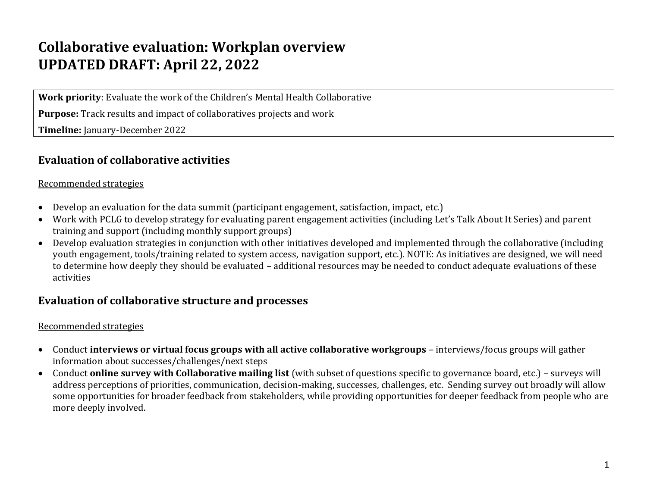## **Collaborative evaluation: Workplan overview UPDATED DRAFT: April 22, 2022**

**Work priority**: Evaluate the work of the Children's Mental Health Collaborative

**Purpose:** Track results and impact of collaboratives projects and work

**Timeline:** January-December 2022

### **Evaluation of collaborative activities**

### Recommended strategies

- Develop an evaluation for the data summit (participant engagement, satisfaction, impact, etc.)
- Work with PCLG to develop strategy for evaluating parent engagement activities (including Let's Talk About It Series) and parent training and support (including monthly support groups)
- Develop evaluation strategies in conjunction with other initiatives developed and implemented through the collaborative (including youth engagement, tools/training related to system access, navigation support, etc.). NOTE: As initiatives are designed, we will need to determine how deeply they should be evaluated – additional resources may be needed to conduct adequate evaluations of these activities

### **Evaluation of collaborative structure and processes**

### Recommended strategies

- Conduct **interviews or virtual focus groups with all active collaborative workgroups** interviews/focus groups will gather information about successes/challenges/next steps
- Conduct **online survey with Collaborative mailing list** (with subset of questions specific to governance board, etc.) surveys will address perceptions of priorities, communication, decision-making, successes, challenges, etc. Sending survey out broadly will allow some opportunities for broader feedback from stakeholders, while providing opportunities for deeper feedback from people who are more deeply involved.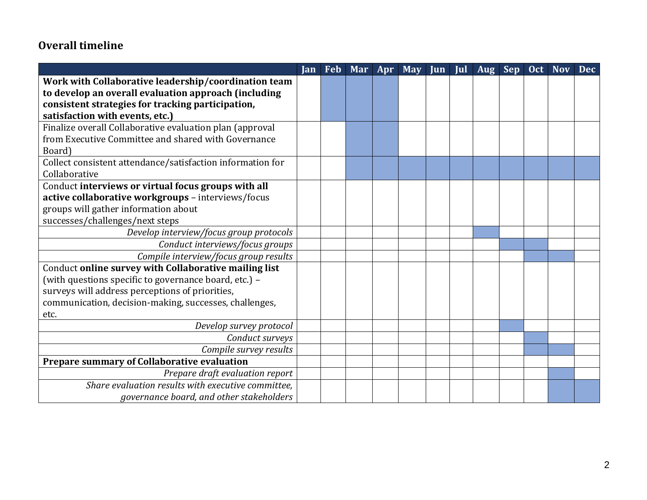### **Overall timeline**

|                                                            | Jan |  | Feb Mar Apr May Jun Jul Aug Sep |  |  | Oct Nov | <b>Dec</b> |
|------------------------------------------------------------|-----|--|---------------------------------|--|--|---------|------------|
| Work with Collaborative leadership/coordination team       |     |  |                                 |  |  |         |            |
| to develop an overall evaluation approach (including       |     |  |                                 |  |  |         |            |
| consistent strategies for tracking participation,          |     |  |                                 |  |  |         |            |
| satisfaction with events, etc.)                            |     |  |                                 |  |  |         |            |
| Finalize overall Collaborative evaluation plan (approval   |     |  |                                 |  |  |         |            |
| from Executive Committee and shared with Governance        |     |  |                                 |  |  |         |            |
| Board)                                                     |     |  |                                 |  |  |         |            |
| Collect consistent attendance/satisfaction information for |     |  |                                 |  |  |         |            |
| Collaborative                                              |     |  |                                 |  |  |         |            |
| Conduct interviews or virtual focus groups with all        |     |  |                                 |  |  |         |            |
| active collaborative workgroups - interviews/focus         |     |  |                                 |  |  |         |            |
| groups will gather information about                       |     |  |                                 |  |  |         |            |
| successes/challenges/next steps                            |     |  |                                 |  |  |         |            |
| Develop interview/focus group protocols                    |     |  |                                 |  |  |         |            |
| Conduct interviews/focus groups                            |     |  |                                 |  |  |         |            |
| Compile interview/focus group results                      |     |  |                                 |  |  |         |            |
| Conduct online survey with Collaborative mailing list      |     |  |                                 |  |  |         |            |
| (with questions specific to governance board, etc.) -      |     |  |                                 |  |  |         |            |
| surveys will address perceptions of priorities,            |     |  |                                 |  |  |         |            |
| communication, decision-making, successes, challenges,     |     |  |                                 |  |  |         |            |
| etc.                                                       |     |  |                                 |  |  |         |            |
| Develop survey protocol                                    |     |  |                                 |  |  |         |            |
| Conduct surveys                                            |     |  |                                 |  |  |         |            |
| Compile survey results                                     |     |  |                                 |  |  |         |            |
| Prepare summary of Collaborative evaluation                |     |  |                                 |  |  |         |            |
| Prepare draft evaluation report                            |     |  |                                 |  |  |         |            |
| Share evaluation results with executive committee,         |     |  |                                 |  |  |         |            |
| governance board, and other stakeholders                   |     |  |                                 |  |  |         |            |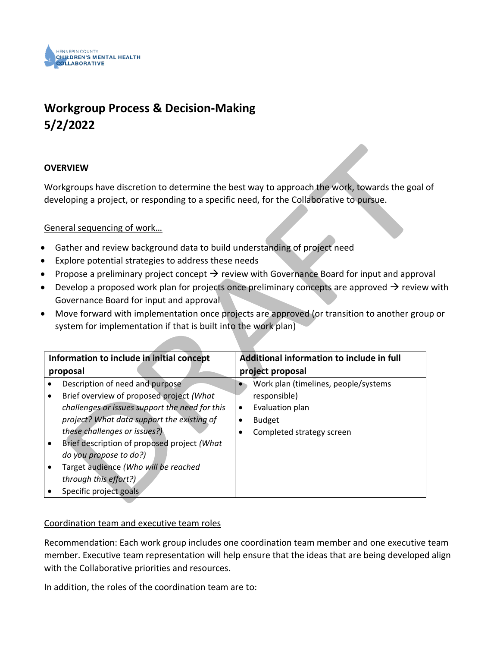

## **Workgroup Process & Decision-Making 5/2/2022**

#### **OVERVIEW**

Workgroups have discretion to determine the best way to approach the work, towards the goal of developing a project, or responding to a specific need, for the Collaborative to pursue.

### General sequencing of work…

- Gather and review background data to build understanding of project need
- Explore potential strategies to address these needs
- Propose a preliminary project concept  $\rightarrow$  review with Governance Board for input and approval
- Develop a proposed work plan for projects once preliminary concepts are approved  $\rightarrow$  review with Governance Board for input and approval
- Move forward with implementation once projects are approved (or transition to another group or system for implementation if that is built into the work plan)

| Information to include in initial concept      |   | Additional information to include in full |
|------------------------------------------------|---|-------------------------------------------|
| proposal                                       |   | project proposal                          |
| Description of need and purpose                |   | Work plan (timelines, people/systems      |
| Brief overview of proposed project (What       |   | responsible)                              |
| challenges or issues support the need for this | ٠ | Evaluation plan                           |
| project? What data support the existing of     |   | <b>Budget</b>                             |
| these challenges or issues?)                   |   | Completed strategy screen                 |
| Brief description of proposed project (What    |   |                                           |
| do you propose to do?)                         |   |                                           |
| Target audience (Who will be reached           |   |                                           |
| through this effort?)                          |   |                                           |
| Specific project goals                         |   |                                           |

### Coordination team and executive team roles

Recommendation: Each work group includes one coordination team member and one executive team member. Executive team representation will help ensure that the ideas that are being developed align with the Collaborative priorities and resources.

In addition, the roles of the coordination team are to: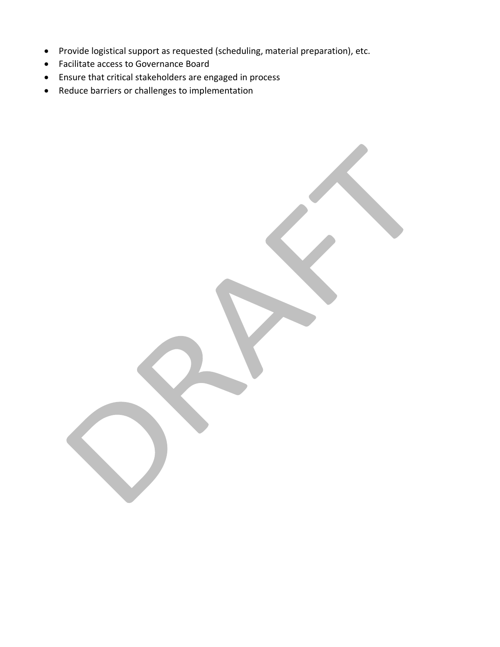- Provide logistical support as requested (scheduling, material preparation), etc.
- Facilitate access to Governance Board
- Ensure that critical stakeholders are engaged in process
- Reduce barriers or challenges to implementation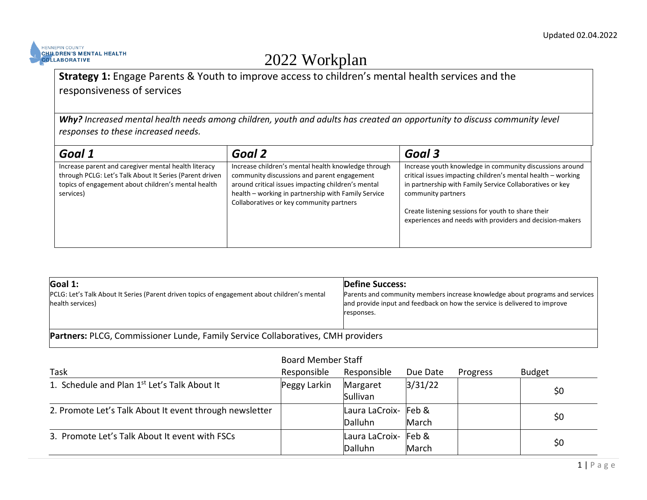

# 2022 Workplan

### **Strategy 1:** Engage Parents & Youth to improve access to children's mental health services and the responsiveness of services

*Why? Increased mental health needs among children, youth and adults has created an opportunity to discuss community level responses to these increased needs.*

| Goal 1                                                                                                                                                                              | Goal 2                                                                                                                                                                                                                                                      | Goal 3                                                                                                                                                                                                                                                                                                                       |
|-------------------------------------------------------------------------------------------------------------------------------------------------------------------------------------|-------------------------------------------------------------------------------------------------------------------------------------------------------------------------------------------------------------------------------------------------------------|------------------------------------------------------------------------------------------------------------------------------------------------------------------------------------------------------------------------------------------------------------------------------------------------------------------------------|
| Increase parent and caregiver mental health literacy<br>through PCLG: Let's Talk About It Series (Parent driven<br>topics of engagement about children's mental health<br>services) | Increase children's mental health knowledge through<br>community discussions and parent engagement<br>around critical issues impacting children's mental<br>health - working in partnership with Family Service<br>Collaboratives or key community partners | Increase youth knowledge in community discussions around<br>critical issues impacting children's mental health - working<br>in partnership with Family Service Collaboratives or key<br>community partners<br>Create listening sessions for youth to share their<br>experiences and needs with providers and decision-makers |

| Goal 1:                                                                                                          | <b>Define Success:</b>                                                                                                                                                  |  |  |  |  |
|------------------------------------------------------------------------------------------------------------------|-------------------------------------------------------------------------------------------------------------------------------------------------------------------------|--|--|--|--|
| PCLG: Let's Talk About It Series (Parent driven topics of engagement about children's mental<br>health services) | Parents and community members increase knowledge about programs and services<br>and provide input and feedback on how the service is delivered to improve<br>responses. |  |  |  |  |
| Partners: PLCG, Commissioner Lunde, Family Service Collaboratives, CMH providers                                 |                                                                                                                                                                         |  |  |  |  |

|                                                          | <b>Board Member Staff</b> |                                        |          |          |               |  |
|----------------------------------------------------------|---------------------------|----------------------------------------|----------|----------|---------------|--|
| Task                                                     | Responsible               | Responsible                            | Due Date | Progress | <b>Budget</b> |  |
| 1. Schedule and Plan 1 <sup>st</sup> Let's Talk About It | Peggy Larkin              | Margaret<br>Sullivan                   | 3/31/22  |          | \$0           |  |
| 2. Promote Let's Talk About It event through newsletter  |                           | Laura LaCroix- Feb &<br><b>Dalluhn</b> | March    |          | \$0           |  |
| 3. Promote Let's Talk About It event with FSCs           |                           | Laura LaCroix- Feb &<br>Dalluhn        | March    |          | \$0           |  |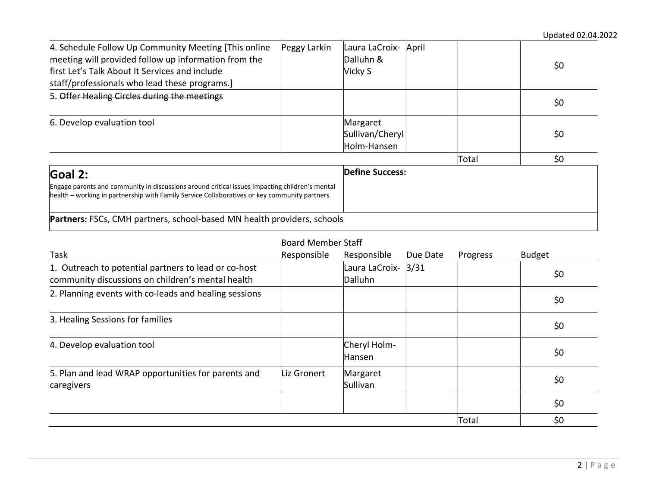| 4. Schedule Follow Up Community Meeting [This online                                                                                                                                           | Peggy Larkin | Laura LaCroix-         | April |       |     |
|------------------------------------------------------------------------------------------------------------------------------------------------------------------------------------------------|--------------|------------------------|-------|-------|-----|
| meeting will provided follow up information from the                                                                                                                                           |              | Dalluhn &              |       |       | \$0 |
| first Let's Talk About It Services and include                                                                                                                                                 |              | Vicky S                |       |       |     |
| staff/professionals who lead these programs.                                                                                                                                                   |              |                        |       |       |     |
| 5. Offer Healing Circles during the meetings                                                                                                                                                   |              |                        |       |       | \$0 |
| 6. Develop evaluation tool                                                                                                                                                                     |              | Margaret               |       |       |     |
|                                                                                                                                                                                                |              | Sullivan/Cheryl        |       |       | \$0 |
|                                                                                                                                                                                                |              | Holm-Hansen            |       |       |     |
|                                                                                                                                                                                                |              |                        |       | Total | \$0 |
| Goal 2:                                                                                                                                                                                        |              | <b>Define Success:</b> |       |       |     |
| Engage parents and community in discussions around critical issues impacting children's mental<br>health – working in partnership with Family Service Collaboratives or key community partners |              |                        |       |       |     |
| Partners: FSCs, CMH partners, school-based MN health providers, schools                                                                                                                        |              |                        |       |       |     |

|                                                                                                           | <b>Board Member Staff</b> |                                |          |          |               |
|-----------------------------------------------------------------------------------------------------------|---------------------------|--------------------------------|----------|----------|---------------|
| Task                                                                                                      | Responsible               | Responsible                    | Due Date | Progress | <b>Budget</b> |
| 1. Outreach to potential partners to lead or co-host<br>community discussions on children's mental health |                           | Laura LaCroix- 3/31<br>Dalluhn |          |          | \$0           |
| 2. Planning events with co-leads and healing sessions                                                     |                           |                                |          |          | \$0           |
| 3. Healing Sessions for families                                                                          |                           |                                |          |          | \$0           |
| 4. Develop evaluation tool                                                                                |                           | Cheryl Holm-<br>Hansen         |          |          | \$0           |
| 5. Plan and lead WRAP opportunities for parents and<br>caregivers                                         | Liz Gronert               | Margaret<br>Sullivan           |          |          | \$0           |
|                                                                                                           |                           |                                |          |          | \$0           |
|                                                                                                           |                           |                                |          | Total    | \$0           |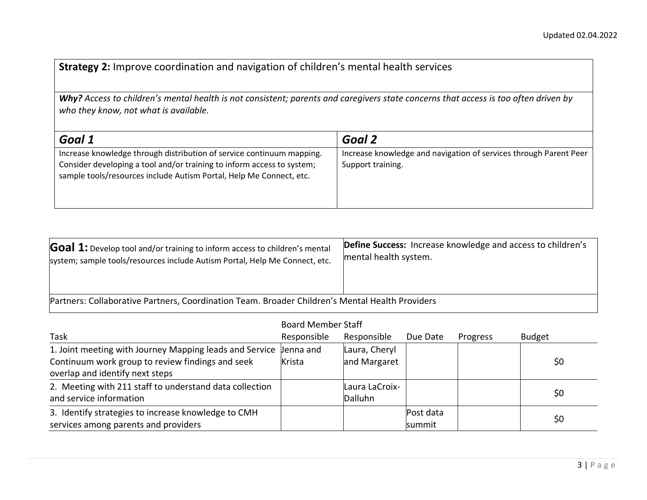**Strategy 2:** Improve coordination and navigation of children's mental health services

*Why? Access to children's mental health is not consistent; parents and caregivers state concerns that access is too often driven by who they know, not what is available.*

| Goal 1                                                                                                                                                                                                                 | Goal 2                                                                                 |
|------------------------------------------------------------------------------------------------------------------------------------------------------------------------------------------------------------------------|----------------------------------------------------------------------------------------|
| Increase knowledge through distribution of service continuum mapping.<br>Consider developing a tool and/or training to inform access to system;<br>sample tools/resources include Autism Portal, Help Me Connect, etc. | Increase knowledge and navigation of services through Parent Peer<br>Support training. |

| <b>Goal 1:</b> Develop tool and/or training to inform access to children's mental               | Define Success: Increase knowledge and access to children's |  |  |  |  |  |
|-------------------------------------------------------------------------------------------------|-------------------------------------------------------------|--|--|--|--|--|
| system; sample tools/resources include Autism Portal, Help Me Connect, etc.                     | mental health system.                                       |  |  |  |  |  |
| Partners: Collaborative Partners, Coordination Team. Broader Children's Mental Health Providers |                                                             |  |  |  |  |  |

|                                                                   | <b>Board Member Staff</b> |                |           |          |               |  |
|-------------------------------------------------------------------|---------------------------|----------------|-----------|----------|---------------|--|
| Task                                                              | Responsible               | Responsible    | Due Date  | Progress | <b>Budget</b> |  |
| 1. Joint meeting with Journey Mapping leads and Service Jenna and |                           | Laura, Cheryl  |           |          |               |  |
| Continuum work group to review findings and seek                  | Krista                    | and Margaret   |           |          | \$0           |  |
| overlap and identify next steps                                   |                           |                |           |          |               |  |
| 2. Meeting with 211 staff to understand data collection           |                           | Laura LaCroix- |           |          |               |  |
| and service information                                           |                           | Dalluhn        |           |          | \$0           |  |
| 3. Identify strategies to increase knowledge to CMH               |                           |                | Post data |          |               |  |
| services among parents and providers                              |                           |                | summit    |          | \$0           |  |